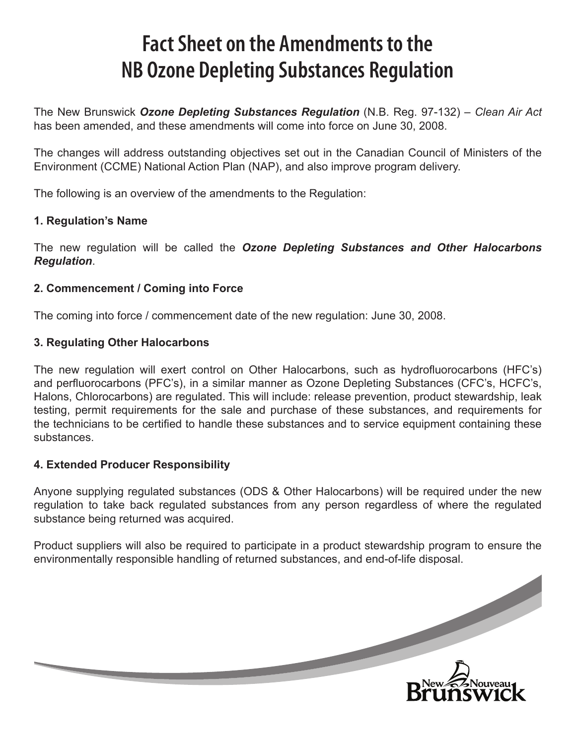# **Fact Sheet on the Amendments to the NB Ozone Depleting Substances Regulation**

The New Brunswick *Ozone Depleting Substances Regulation* (N.B. Reg. 97-132) – *Clean Air Act* has been amended, and these amendments will come into force on June 30, 2008.

The changes will address outstanding objectives set out in the Canadian Council of Ministers of the Environment (CCME) National Action Plan (NAP), and also improve program delivery.

The following is an overview of the amendments to the Regulation:

## **1. Regulation's Name**

The new regulation will be called the *Ozone Depleting Substances and Other Halocarbons Regulation*.

## **2. Commencement / Coming into Force**

The coming into force / commencement date of the new regulation: June 30, 2008.

## **3. Regulating Other Halocarbons**

The new regulation will exert control on Other Halocarbons, such as hydrofluorocarbons (HFC's) and perfluorocarbons (PFC's), in a similar manner as Ozone Depleting Substances (CFC's, HCFC's, Halons, Chlorocarbons) are regulated. This will include: release prevention, product stewardship, leak testing, permit requirements for the sale and purchase of these substances, and requirements for the technicians to be certified to handle these substances and to service equipment containing these substances.

#### **4. Extended Producer Responsibility**

Anyone supplying regulated substances (ODS & Other Halocarbons) will be required under the new regulation to take back regulated substances from any person regardless of where the regulated substance being returned was acquired.

Product suppliers will also be required to participate in a product stewardship program to ensure the environmentally responsible handling of returned substances, and end-of-life disposal.

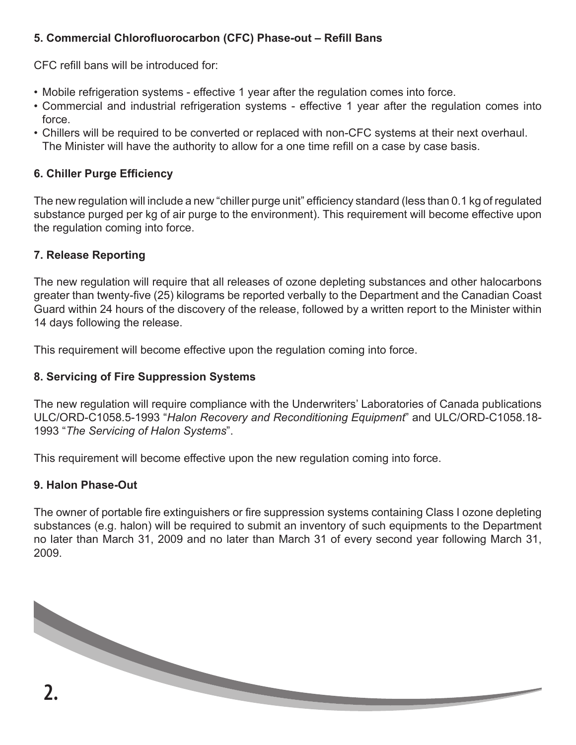## **5. Commercial Chlorofluorocarbon (CFC) Phase-out – Refill Bans**

CFC refill bans will be introduced for:

- Mobile refrigeration systems effective 1 year after the regulation comes into force.
- Commercial and industrial refrigeration systems effective 1 year after the regulation comes into force.
- Chillers will be required to be converted or replaced with non-CFC systems at their next overhaul. The Minister will have the authority to allow for a one time refill on a case by case basis.

## **6. Chiller Purge Efficiency**

The new regulation will include a new "chiller purge unit" efficiency standard (less than 0.1 kg of regulated substance purged per kg of air purge to the environment). This requirement will become effective upon the regulation coming into force.

## **7. Release Reporting**

The new regulation will require that all releases of ozone depleting substances and other halocarbons greater than twenty-five (25) kilograms be reported verbally to the Department and the Canadian Coast Guard within 24 hours of the discovery of the release, followed by a written report to the Minister within 14 days following the release.

This requirement will become effective upon the regulation coming into force.

## **8. Servicing of Fire Suppression Systems**

The new regulation will require compliance with the Underwriters' Laboratories of Canada publications ULC/ORD-C1058.5-1993 "*Halon Recovery and Reconditioning Equipment*" and ULC/ORD-C1058.18- 1993 "*The Servicing of Halon Systems*".

This requirement will become effective upon the new regulation coming into force.

#### **9. Halon Phase-Out**

The owner of portable fire extinguishers or fire suppression systems containing Class I ozone depleting substances (e.g. halon) will be required to submit an inventory of such equipments to the Department no later than March 31, 2009 and no later than March 31 of every second year following March 31, 2009.

**2.**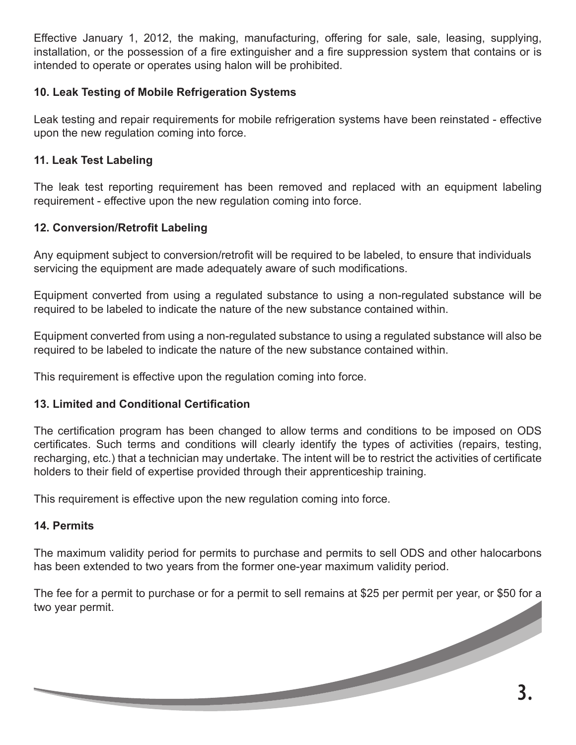Effective January 1, 2012, the making, manufacturing, offering for sale, sale, leasing, supplying, installation, or the possession of a fire extinguisher and a fire suppression system that contains or is intended to operate or operates using halon will be prohibited.

#### **10. Leak Testing of Mobile Refrigeration Systems**

Leak testing and repair requirements for mobile refrigeration systems have been reinstated - effective upon the new regulation coming into force.

#### **11. Leak Test Labeling**

The leak test reporting requirement has been removed and replaced with an equipment labeling requirement - effective upon the new regulation coming into force.

#### **12. Conversion/Retrofit Labeling**

Any equipment subject to conversion/retrofit will be required to be labeled, to ensure that individuals servicing the equipment are made adequately aware of such modifications.

Equipment converted from using a regulated substance to using a non-regulated substance will be required to be labeled to indicate the nature of the new substance contained within.

Equipment converted from using a non-regulated substance to using a regulated substance will also be required to be labeled to indicate the nature of the new substance contained within.

This requirement is effective upon the regulation coming into force.

#### **13. Limited and Conditional Certification**

The certification program has been changed to allow terms and conditions to be imposed on ODS certificates. Such terms and conditions will clearly identify the types of activities (repairs, testing, recharging, etc.) that a technician may undertake. The intent will be to restrict the activities of certificate holders to their field of expertise provided through their apprenticeship training.

This requirement is effective upon the new regulation coming into force.

#### **14. Permits**

The maximum validity period for permits to purchase and permits to sell ODS and other halocarbons has been extended to two years from the former one-year maximum validity period.

The fee for a permit to purchase or for a permit to sell remains at \$25 per permit per year, or \$50 for a two year permit. **3.**